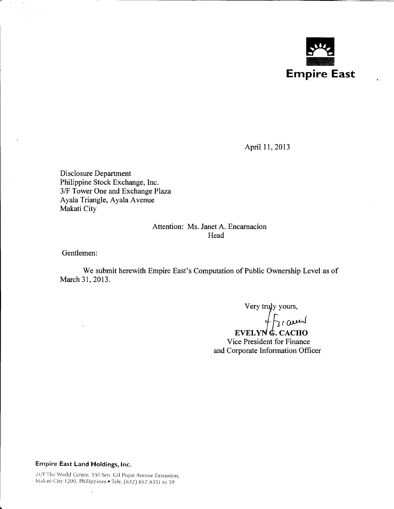

April 11, 2013

Disclosure Department Philippine Stock Exchange, Inc. 3/F Tower One and Exchange Plaza Ayala Triangle, Ayala Avenue Makati City

# Attention: Ms. Janet A. Encarnacion Head

Gentlemen:

 $\pm$ 

We submit herewith Empire East's Computation of Public Ownership Level as of March 31,2013.

 $\sqrt{2}$ 

 $EVELYN \& CACHO$ Vice President for Finance and Corporate Information Officer

# Empire East land Holdings, Inc.

 $\ddot{\phantom{a}}$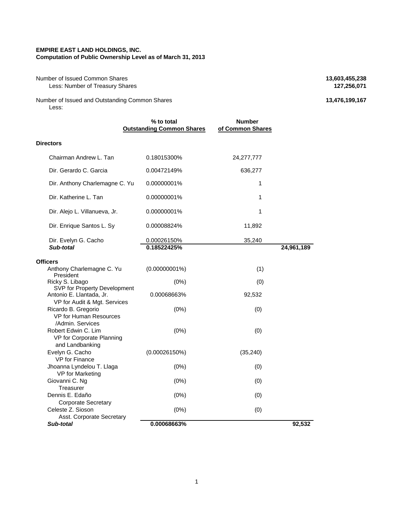#### **EMPIRE EAST LAND HOLDINGS, INC. Computation of Public Ownership Level as of March 31, 2013**

## Number of Issued Common Shares **13,603,455,238**<br>Less: Number of Treasury Shares **127,256,071 Less: Number of Treasury Shares**

Number of Issued and Outstanding Common Shares **13,476,199,167 13,476,199,167** Less:

|                                                                                                             | % to total<br><b>Outstanding Common Shares</b> | <b>Number</b><br>of Common Shares |            |
|-------------------------------------------------------------------------------------------------------------|------------------------------------------------|-----------------------------------|------------|
| <b>Directors</b>                                                                                            |                                                |                                   |            |
| Chairman Andrew L. Tan                                                                                      | 0.18015300%                                    | 24,277,777                        |            |
| Dir. Gerardo C. Garcia                                                                                      | 0.00472149%                                    | 636,277                           |            |
| Dir. Anthony Charlemagne C. Yu                                                                              | 0.00000001%                                    | 1                                 |            |
| Dir. Katherine L. Tan                                                                                       | 0.00000001%                                    | 1                                 |            |
| Dir. Alejo L. Villanueva, Jr.                                                                               | 0.00000001%                                    | 1                                 |            |
| Dir. Enrique Santos L. Sy                                                                                   | 0.00008824%                                    | 11,892                            |            |
| Dir. Evelyn G. Cacho                                                                                        | 0.00026150%                                    | 35,240                            |            |
| Sub-total                                                                                                   | 0.18522425%                                    |                                   | 24,961,189 |
| <b>Officers</b><br>Anthony Charlemagne C. Yu<br>President                                                   | $(0.00000001\%)$                               | (1)                               |            |
| Ricky S. Libago<br>SVP for Property Development<br>Antonio E. Llantada, Jr.<br>VP for Audit & Mgt. Services | $(0\%)$<br>0.00068663%                         | (0)<br>92,532                     |            |
| Ricardo B. Gregorio<br><b>VP for Human Resources</b><br>/Admin. Services                                    | (0%)                                           | (0)                               |            |
| Robert Edwin C. Lim<br>VP for Corporate Planning<br>and Landbanking                                         | (0%)                                           | (0)                               |            |
| Evelyn G. Cacho<br>VP for Finance                                                                           | (0.00026150%)                                  | (35, 240)                         |            |
| Jhoanna Lyndelou T. Llaga<br><b>VP</b> for Marketing                                                        | (0%)                                           | (0)                               |            |
| Giovanni C. Ng<br>Treasurer                                                                                 | $(0\%)$                                        | (0)                               |            |
| Dennis E. Edaño<br><b>Corporate Secretary</b>                                                               | (0%)                                           | (0)                               |            |
| Celeste Z. Sioson<br>Asst. Corporate Secretary                                                              | (0%)                                           | (0)                               |            |
| Sub-total                                                                                                   | 0.00068663%                                    |                                   | 92.532     |